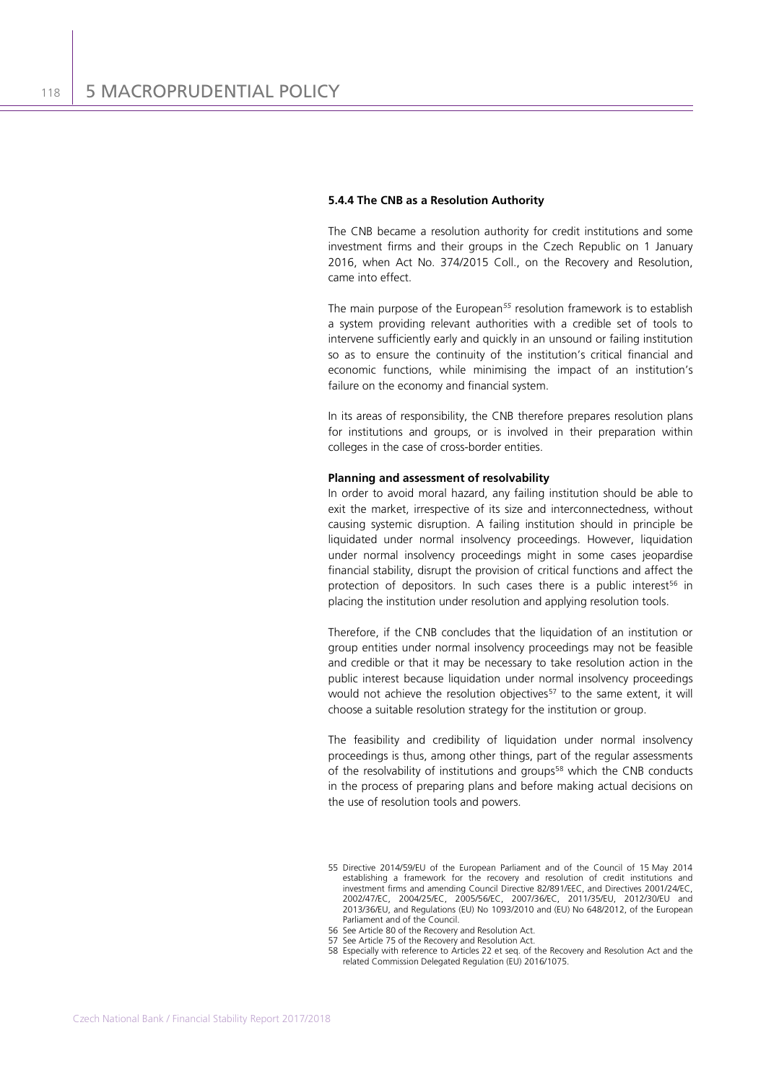## **5.4.4 The CNB as a Resolution Authority**

The CNB became a resolution authority for credit institutions and some investment firms and their groups in the Czech Republic on 1 January 2016, when Act No. 374/2015 Coll., on the Recovery and Resolution, came into effect.

The main purpose of the European*[55](#page-0-0)* resolution framework is to establish a system providing relevant authorities with a credible set of tools to intervene sufficiently early and quickly in an unsound or failing institution so as to ensure the continuity of the institution's critical financial and economic functions, while minimising the impact of an institution's failure on the economy and financial system.

In its areas of responsibility, the CNB therefore prepares resolution plans for institutions and groups, or is involved in their preparation within colleges in the case of cross-border entities.

## **Planning and assessment of resolvability**

In order to avoid moral hazard, any failing institution should be able to exit the market, irrespective of its size and interconnectedness, without causing systemic disruption. A failing institution should in principle be liquidated under normal insolvency proceedings. However, liquidation under normal insolvency proceedings might in some cases jeopardise financial stability, disrupt the provision of critical functions and affect the protection of depositors. In such cases there is a public interest<sup>[56](#page-0-1)</sup> in placing the institution under resolution and applying resolution tools.

Therefore, if the CNB concludes that the liquidation of an institution or group entities under normal insolvency proceedings may not be feasible and credible or that it may be necessary to take resolution action in the public interest because liquidation under normal insolvency proceedings would not achieve the resolution objectives<sup>[57](#page-0-2)</sup> to the same extent, it will choose a suitable resolution strategy for the institution or group.

The feasibility and credibility of liquidation under normal insolvency proceedings is thus, among other things, part of the regular assessments of the resolvability of institutions and groups<sup>[58](#page-0-3)</sup> which the CNB conducts in the process of preparing plans and before making actual decisions on the use of resolution tools and powers.

<span id="page-0-0"></span><sup>55</sup> Directive 2014/59/EU of the European Parliament and of the Council of 15 May 2014 establishing a framework for the recovery and resolution of credit institutions and investment firms and amending Council Directive 82/891/EEC, and Directives 2001/24/EC, 2002/47/EC, 2004/25/EC, 2005/56/EC, 2007/36/EC, 2011/35/EU, 2012/30/EU and 2013/36/EU, and Regulations (EU) No 1093/2010 and (EU) No 648/2012, of the European Parliament and of the Council.

<sup>56</sup> See Article 80 of the Recovery and Resolution Act.

<span id="page-0-3"></span><span id="page-0-2"></span><span id="page-0-1"></span><sup>57</sup> See Article 75 of the Recovery and Resolution Act.

<sup>58</sup> Especially with reference to Articles 22 et seq. of the Recovery and Resolution Act and the related Commission Delegated Regulation (EU) 2016/1075.